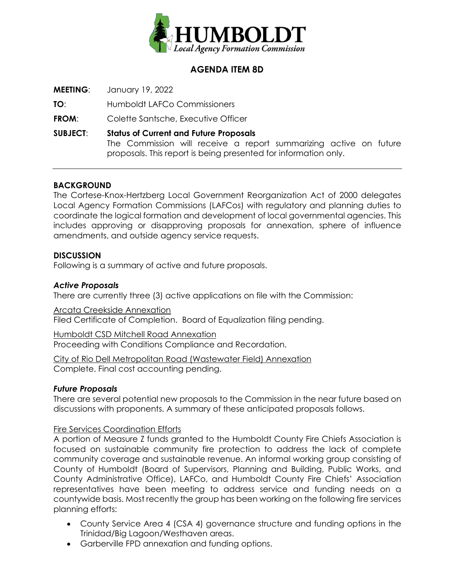

# **AGENDA ITEM 8D**

**MEETING**: January 19, 2022

**TO**: Humboldt LAFCo Commissioners

**FROM:** Colette Santsche, Executive Officer

**SUBJECT**: **Status of Current and Future Proposals** The Commission will receive a report summarizing active on future proposals. This report is being presented for information only.

## **BACKGROUND**

The Cortese-Knox-Hertzberg Local Government Reorganization Act of 2000 delegates Local Agency Formation Commissions (LAFCos) with regulatory and planning duties to coordinate the logical formation and development of local governmental agencies. This includes approving or disapproving proposals for annexation, sphere of influence amendments, and outside agency service requests.

## **DISCUSSION**

Following is a summary of active and future proposals.

## *Active Proposals*

There are currently three (3) active applications on file with the Commission:

Arcata Creekside Annexation Filed Certificate of Completion. Board of Equalization filing pending.

Humboldt CSD Mitchell Road Annexation Proceeding with Conditions Compliance and Recordation.

City of Rio Dell Metropolitan Road (Wastewater Field) Annexation Complete. Final cost accounting pending.

## *Future Proposals*

There are several potential new proposals to the Commission in the near future based on discussions with proponents. A summary of these anticipated proposals follows.

### Fire Services Coordination Efforts

A portion of Measure Z funds granted to the Humboldt County Fire Chiefs Association is focused on sustainable community fire protection to address the lack of complete community coverage and sustainable revenue. An informal working group consisting of County of Humboldt (Board of Supervisors, Planning and Building, Public Works, and County Administrative Office), LAFCo, and Humboldt County Fire Chiefs' Association representatives have been meeting to address service and funding needs on a countywide basis. Most recently the group has been working on the following fire services planning efforts:

- County Service Area 4 (CSA 4) governance structure and funding options in the Trinidad/Big Lagoon/Westhaven areas.
- Garberville FPD annexation and funding options.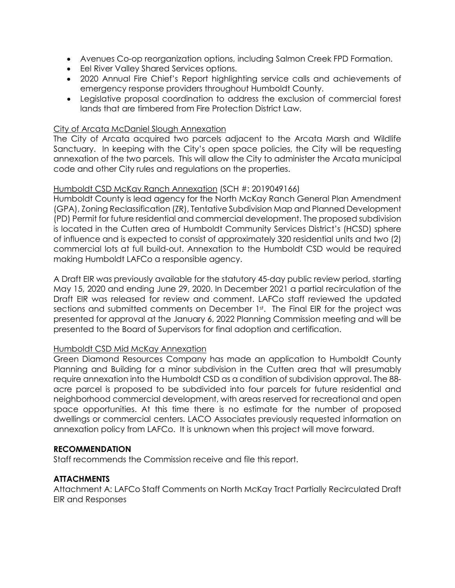- Avenues Co-op reorganization options, including Salmon Creek FPD Formation.
- Eel River Valley Shared Services options.
- 2020 Annual Fire Chief's Report highlighting service calls and achievements of emergency response providers throughout Humboldt County.
- Legislative proposal coordination to address the exclusion of commercial forest lands that are timbered from Fire Protection District Law.

### City of Arcata McDaniel Slough Annexation

The City of Arcata acquired two parcels adjacent to the Arcata Marsh and Wildlife Sanctuary. In keeping with the City's open space policies, the City will be requesting annexation of the two parcels. This will allow the City to administer the Arcata municipal code and other City rules and regulations on the properties.

#### Humboldt CSD McKay Ranch Annexation (SCH #: 2019049166)

Humboldt County is lead agency for the North McKay Ranch General Plan Amendment (GPA), Zoning Reclassification (ZR), Tentative Subdivision Map and Planned Development (PD) Permit for future residential and commercial development. The proposed subdivision is located in the Cutten area of Humboldt Community Services District's (HCSD) sphere of influence and is expected to consist of approximately 320 residential units and two (2) commercial lots at full build-out. Annexation to the Humboldt CSD would be required making Humboldt LAFCo a responsible agency.

A Draft EIR was previously available for the statutory 45-day public review period, starting May 15, 2020 and ending June 29, 2020. In December 2021 a partial recirculation of the Draft EIR was released for review and comment. LAFCo staff reviewed the updated sections and submitted comments on December 1st. The Final EIR for the project was presented for approval at the January 6, 2022 Planning Commission meeting and will be presented to the Board of Supervisors for final adoption and certification.

#### Humboldt CSD Mid McKay Annexation

Green Diamond Resources Company has made an application to Humboldt County Planning and Building for a minor subdivision in the Cutten area that will presumably require annexation into the Humboldt CSD as a condition of subdivision approval. The 88 acre parcel is proposed to be subdivided into four parcels for future residential and neighborhood commercial development, with areas reserved for recreational and open space opportunities. At this time there is no estimate for the number of proposed dwellings or commercial centers. LACO Associates previously requested information on annexation policy from LAFCo. It is unknown when this project will move forward.

#### **RECOMMENDATION**

Staff recommends the Commission receive and file this report.

#### **ATTACHMENTS**

Attachment A: LAFCo Staff Comments on North McKay Tract Partially Recirculated Draft EIR and Responses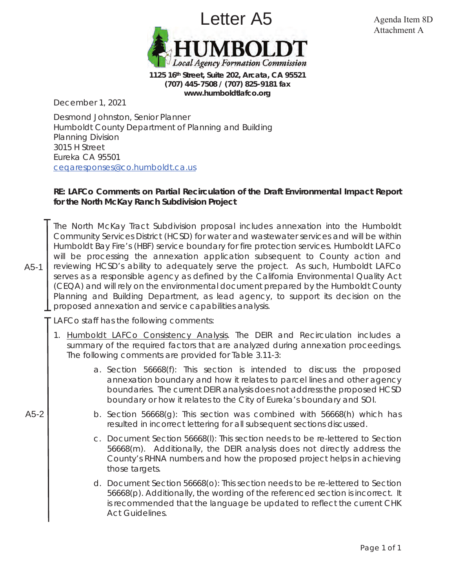

**1125 16th Street, Suite 202, Arcata, CA 95521 (707) 445-7508 / (707) 825-9181 fax** *www.humboldtlafco.org*

December 1, 2021

Desmond Johnston, Senior Planner Humboldt County Department of Planning and Building Planning Division 3015 H Street Eureka CA 95501 ceqaresponses@co.humboldt.ca.us

### **RE: LAFCo Comments on Partial Recirculation of the Draft Environmental Impact Report for the North McKay Ranch Subdivision Project**

The North McKay Tract Subdivision proposal includes annexation into the Humboldt Community Services District (HCSD) for water and wastewater services and will be within Humboldt Bay Fire's (HBF) service boundary for fire protection services. Humboldt LAFCo will be processing the annexation application subsequent to County action and reviewing HCSD's ability to adequately serve the project. As such, Humboldt LAFCo serves as a responsible agency as defined by the California Environmental Quality Act (CEQA) and will rely on the environmental document prepared by the Humboldt County Planning and Building Department, as lead agency, to support its decision on the proposed annexation and service capabilities analysis.

LAFCo staff has the following comments:

- 1. Humboldt LAFCo Consistency Analysis. The DEIR and Recirculation includes a summary of the required factors that are analyzed during annexation proceedings. The following comments are provided for Table 3.11-3:
	- a. Section 56668(f): This section is intended to discuss the proposed annexation boundary and how it relates to parcel lines and other agency boundaries. The current DEIR analysis does not address the proposed HCSD boundary or how it relates to the City of Eureka's boundary and SOI.
	- b. Section 56668(g): This section was combined with 56668(h) which has resulted in incorrect lettering for all subsequent sections discussed.
		- c. Document Section 56668(l): This section needs to be re-lettered to Section 56668(m). Additionally, the DEIR analysis does not directly address the County's RHNA numbers and how the proposed project helps in achieving those targets.
		- d. Document Section 56668(o): This section needs to be re-lettered to Section 56668(p). Additionally, the wording of the referenced section is incorrect. It is recommended that the language be updated to reflect the current CHK Act Guidelines.

A5-2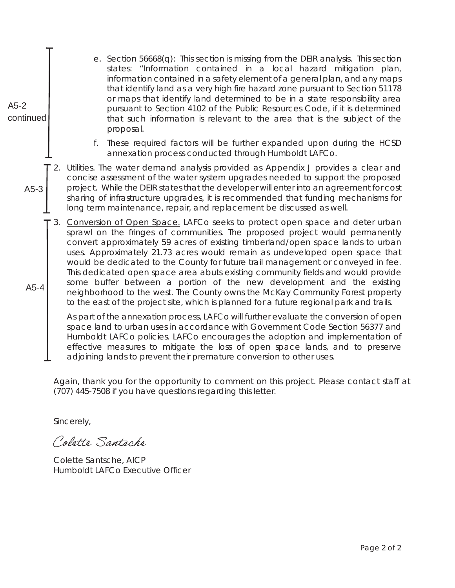| A5-2<br>continued | e. Section 56668(q): This section is missing from the DEIR analysis. This section<br>states: "Information contained in a local hazard mitigation plan,<br>information contained in a safety element of a general plan, and any maps<br>that identify land as a very high fire hazard zone pursuant to Section 51178<br>or maps that identify land determined to be in a state responsibility area<br>pursuant to Section 4102 of the Public Resources Code, if it is determined<br>that such information is relevant to the area that is the subject of the<br>proposal.                                                                                                                                                                                          |  |  |
|-------------------|-------------------------------------------------------------------------------------------------------------------------------------------------------------------------------------------------------------------------------------------------------------------------------------------------------------------------------------------------------------------------------------------------------------------------------------------------------------------------------------------------------------------------------------------------------------------------------------------------------------------------------------------------------------------------------------------------------------------------------------------------------------------|--|--|
|                   | These required factors will be further expanded upon during the HCSD<br>f.<br>annexation process conducted through Humboldt LAFCo.                                                                                                                                                                                                                                                                                                                                                                                                                                                                                                                                                                                                                                |  |  |
| $A5-3$            | 2. Utilities. The water demand analysis provided as Appendix J provides a clear and<br>concise assessment of the water system upgrades needed to support the proposed<br>project. While the DEIR states that the developer will enter into an agreement for cost<br>sharing of infrastructure upgrades, it is recommended that funding mechanisms for<br>long term maintenance, repair, and replacement be discussed as well.                                                                                                                                                                                                                                                                                                                                     |  |  |
| $A5-4$            | Conversion of Open Space. LAFCo seeks to protect open space and deter urban<br>3.<br>sprawl on the fringes of communities. The proposed project would permanently<br>convert approximately 59 acres of existing timberland/open space lands to urban<br>uses. Approximately 21.73 acres would remain as undeveloped open space that<br>would be dedicated to the County for future trail management or conveyed in fee.<br>This dedicated open space area abuts existing community fields and would provide<br>some buffer between a portion of the new development and the existing<br>neighborhood to the west. The County owns the McKay Community Forest property<br>to the east of the project site, which is planned for a future regional park and trails. |  |  |
|                   | As part of the annexation process, LAFCo will further evaluate the conversion of open<br>space land to urban uses in accordance with Government Code Section 56377 and<br>Humboldt LAFCo policies. LAFCo encourages the adoption and implementation of<br>effective measures to mitigate the loss of open space lands, and to preserve<br>adjoining lands to prevent their premature conversion to other uses.                                                                                                                                                                                                                                                                                                                                                    |  |  |
|                   | Again, thank you for the opportunity to comment on this project. Please contact staff and<br>(707) 445-7508 if you have questions regarding this letter.                                                                                                                                                                                                                                                                                                                                                                                                                                                                                                                                                                                                          |  |  |
|                   | Sincerely,                                                                                                                                                                                                                                                                                                                                                                                                                                                                                                                                                                                                                                                                                                                                                        |  |  |
|                   | Colette Santache                                                                                                                                                                                                                                                                                                                                                                                                                                                                                                                                                                                                                                                                                                                                                  |  |  |
|                   | Colette Santsche, AICP                                                                                                                                                                                                                                                                                                                                                                                                                                                                                                                                                                                                                                                                                                                                            |  |  |

Colette Santsche, AICP Humboldt LAFCo Executive Officer